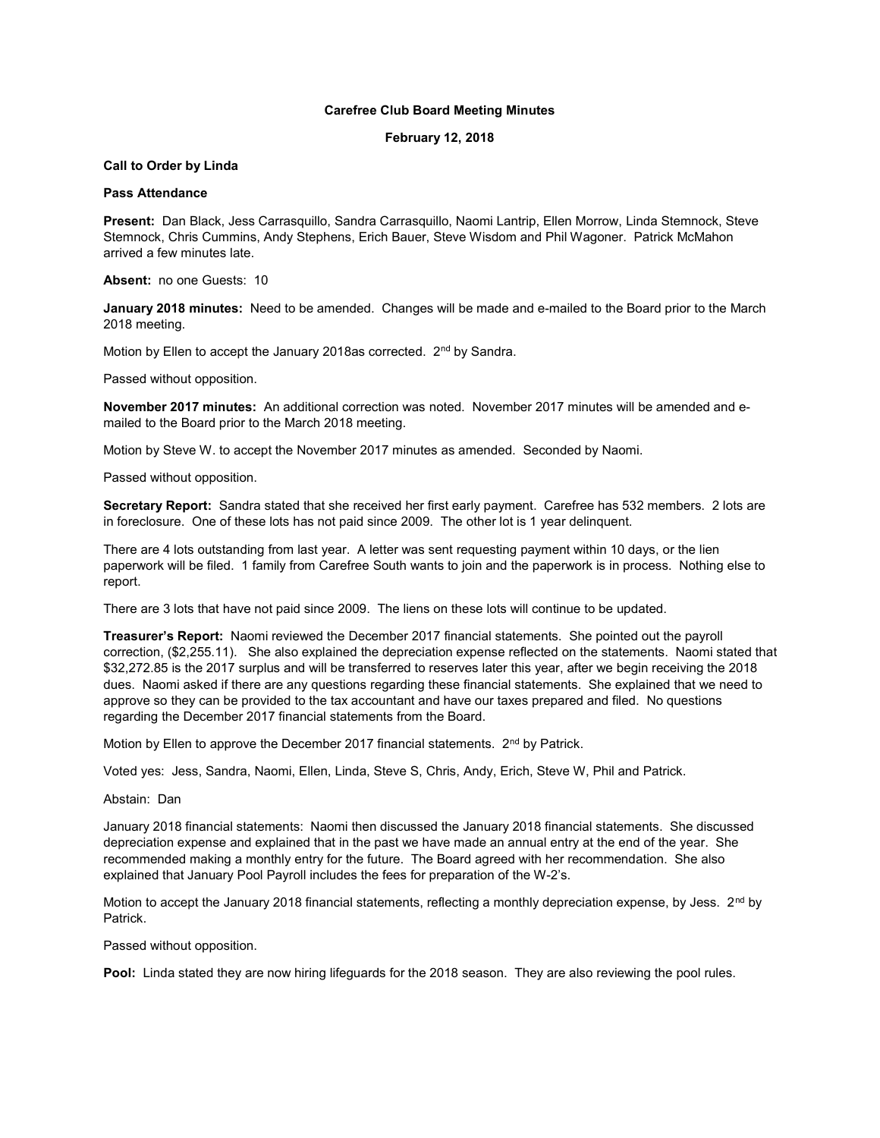# Carefree Club Board Meeting Minutes

## February 12, 2018

## Call to Order by Linda

## Pass Attendance

Present: Dan Black, Jess Carrasquillo, Sandra Carrasquillo, Naomi Lantrip, Ellen Morrow, Linda Stemnock, Steve Stemnock, Chris Cummins, Andy Stephens, Erich Bauer, Steve Wisdom and Phil Wagoner. Patrick McMahon arrived a few minutes late.

Absent: no one Guests: 10

January 2018 minutes: Need to be amended. Changes will be made and e-mailed to the Board prior to the March 2018 meeting.

Motion by Ellen to accept the January 2018as corrected. 2<sup>nd</sup> by Sandra.

Passed without opposition.

November 2017 minutes: An additional correction was noted. November 2017 minutes will be amended and emailed to the Board prior to the March 2018 meeting.

Motion by Steve W. to accept the November 2017 minutes as amended. Seconded by Naomi.

Passed without opposition.

Secretary Report: Sandra stated that she received her first early payment. Carefree has 532 members. 2 lots are in foreclosure. One of these lots has not paid since 2009. The other lot is 1 year delinquent.

There are 4 lots outstanding from last year. A letter was sent requesting payment within 10 days, or the lien paperwork will be filed. 1 family from Carefree South wants to join and the paperwork is in process. Nothing else to report.

There are 3 lots that have not paid since 2009. The liens on these lots will continue to be updated.

Treasurer's Report: Naomi reviewed the December 2017 financial statements. She pointed out the payroll correction, (\$2,255.11). She also explained the depreciation expense reflected on the statements. Naomi stated that \$32,272.85 is the 2017 surplus and will be transferred to reserves later this year, after we begin receiving the 2018 dues. Naomi asked if there are any questions regarding these financial statements. She explained that we need to approve so they can be provided to the tax accountant and have our taxes prepared and filed. No questions regarding the December 2017 financial statements from the Board.

Motion by Ellen to approve the December 2017 financial statements. 2<sup>nd</sup> by Patrick.

Voted yes: Jess, Sandra, Naomi, Ellen, Linda, Steve S, Chris, Andy, Erich, Steve W, Phil and Patrick.

Abstain: Dan

January 2018 financial statements: Naomi then discussed the January 2018 financial statements. She discussed depreciation expense and explained that in the past we have made an annual entry at the end of the year. She recommended making a monthly entry for the future. The Board agreed with her recommendation. She also explained that January Pool Payroll includes the fees for preparation of the W-2's.

Motion to accept the January 2018 financial statements, reflecting a monthly depreciation expense, by Jess. 2<sup>nd</sup> by Patrick.

Passed without opposition.

Pool: Linda stated they are now hiring lifeguards for the 2018 season. They are also reviewing the pool rules.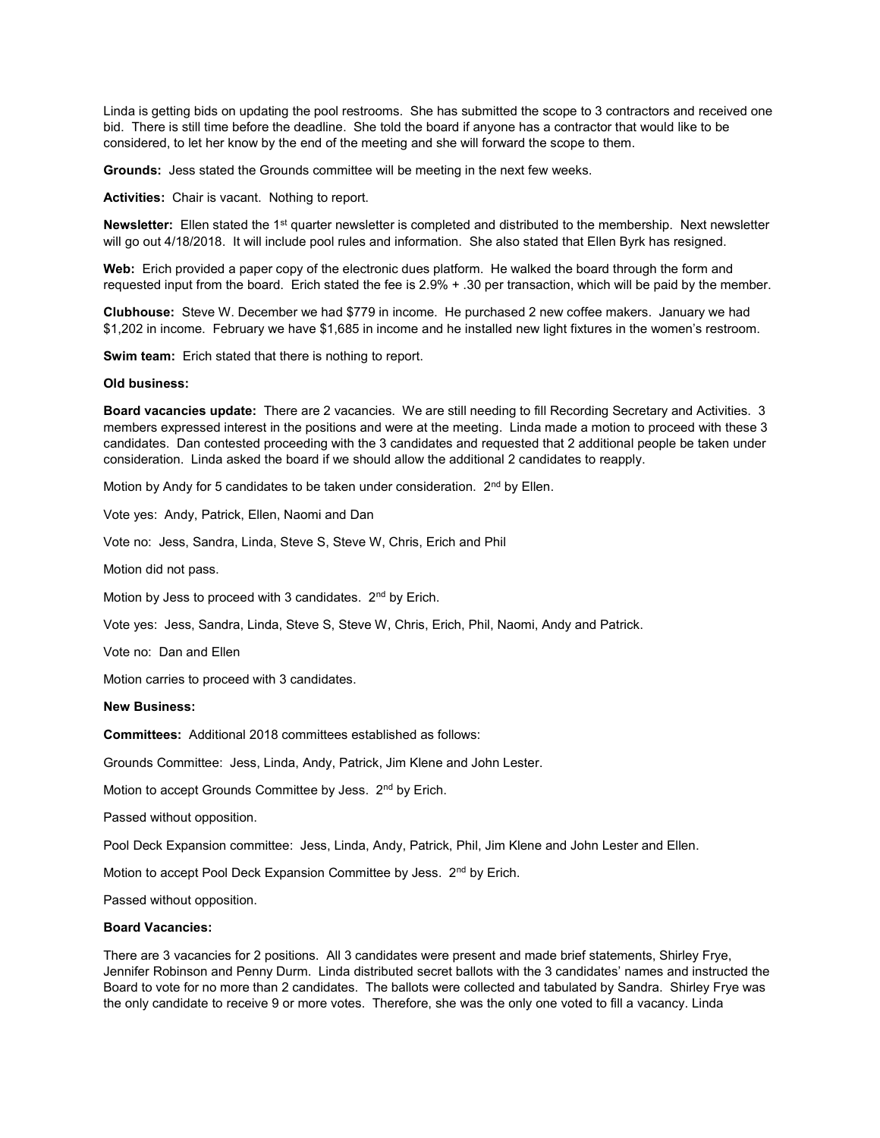Linda is getting bids on updating the pool restrooms. She has submitted the scope to 3 contractors and received one bid. There is still time before the deadline. She told the board if anyone has a contractor that would like to be considered, to let her know by the end of the meeting and she will forward the scope to them.

Grounds: Jess stated the Grounds committee will be meeting in the next few weeks.

Activities: Chair is vacant. Nothing to report.

Newsletter: Ellen stated the 1<sup>st</sup> quarter newsletter is completed and distributed to the membership. Next newsletter will go out 4/18/2018. It will include pool rules and information. She also stated that Ellen Byrk has resigned.

Web: Erich provided a paper copy of the electronic dues platform. He walked the board through the form and requested input from the board. Erich stated the fee is 2.9% + .30 per transaction, which will be paid by the member.

Clubhouse: Steve W. December we had \$779 in income. He purchased 2 new coffee makers. January we had \$1,202 in income. February we have \$1,685 in income and he installed new light fixtures in the women's restroom.

Swim team: Erich stated that there is nothing to report.

#### Old business:

Board vacancies update: There are 2 vacancies. We are still needing to fill Recording Secretary and Activities. 3 members expressed interest in the positions and were at the meeting. Linda made a motion to proceed with these 3 candidates. Dan contested proceeding with the 3 candidates and requested that 2 additional people be taken under consideration. Linda asked the board if we should allow the additional 2 candidates to reapply.

Motion by Andy for 5 candidates to be taken under consideration. 2<sup>nd</sup> by Ellen.

Vote yes: Andy, Patrick, Ellen, Naomi and Dan

Vote no: Jess, Sandra, Linda, Steve S, Steve W, Chris, Erich and Phil

Motion did not pass.

Motion by Jess to proceed with 3 candidates. 2<sup>nd</sup> by Erich.

Vote yes: Jess, Sandra, Linda, Steve S, Steve W, Chris, Erich, Phil, Naomi, Andy and Patrick.

Vote no: Dan and Ellen

Motion carries to proceed with 3 candidates.

## New Business:

Committees: Additional 2018 committees established as follows:

Grounds Committee: Jess, Linda, Andy, Patrick, Jim Klene and John Lester.

Motion to accept Grounds Committee by Jess. 2<sup>nd</sup> by Erich.

Passed without opposition.

Pool Deck Expansion committee: Jess, Linda, Andy, Patrick, Phil, Jim Klene and John Lester and Ellen.

Motion to accept Pool Deck Expansion Committee by Jess. 2<sup>nd</sup> by Erich.

Passed without opposition.

### Board Vacancies:

There are 3 vacancies for 2 positions. All 3 candidates were present and made brief statements, Shirley Frye, Jennifer Robinson and Penny Durm. Linda distributed secret ballots with the 3 candidates' names and instructed the Board to vote for no more than 2 candidates. The ballots were collected and tabulated by Sandra. Shirley Frye was the only candidate to receive 9 or more votes. Therefore, she was the only one voted to fill a vacancy. Linda